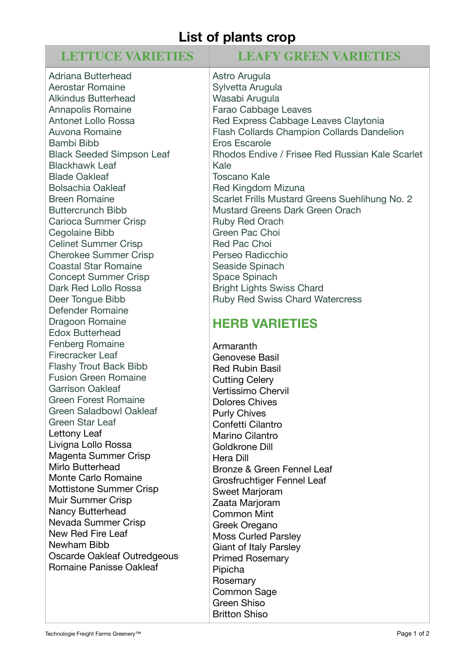# **List of plants crop**